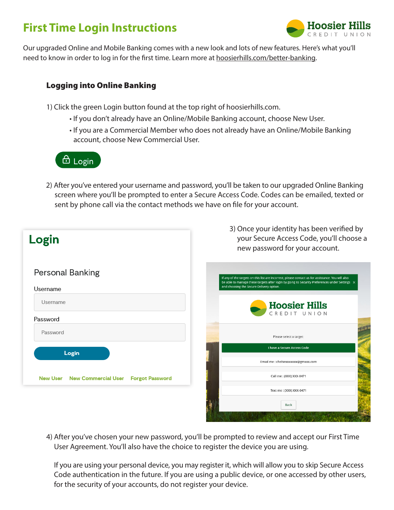## **First Time Login Instructions**



Our upgraded Online and Mobile Banking comes with a new look and lots of new features. Here's what you'll need to know in order to log in for the first time. Learn more at hoosierhills.com/better-banking.

## Logging into Online Banking

1) Click the green Login button found at the top right of hoosierhills.com.

- If you don't already have an Online/Mobile Banking account, choose New User.
- If you are a Commercial Member who does not already have an Online/Mobile Banking account, choose New Commercial User.

## $\Theta$  Login

 2) After you've entered your username and password, you'll be taken to our upgraded Online Banking screen where you'll be prompted to enter a Secure Access Code. Codes can be emailed, texted or sent by phone call via the contact methods we have on file for your account.

| Login                                                         | 3) Once your identity has been verified by<br>your Secure Access Code, you'll choose a<br>new password for your account.                                                                                                                       |
|---------------------------------------------------------------|------------------------------------------------------------------------------------------------------------------------------------------------------------------------------------------------------------------------------------------------|
| <b>Personal Banking</b><br>Username                           | If any of the targets on this list are incorrect, please contact us for assistance. You will also<br>be able to manage these targets after login by going to Security Preferences under Settings X<br>and choosing the Secure Delivery option. |
| Username                                                      | <b>Hoosier Hills</b><br>CREDIT UNION                                                                                                                                                                                                           |
| Password<br>Password                                          | Please select a target:                                                                                                                                                                                                                        |
| Login                                                         | I have a Secure Access Code<br>Email me : chelsexxxxxxx@gmxxx.com                                                                                                                                                                              |
| <b>New User</b><br><b>New Commercial User Forgot Password</b> | Call me: (XXX) XXX-0471                                                                                                                                                                                                                        |
|                                                               | Text me: (XXX) XXX-0471                                                                                                                                                                                                                        |
|                                                               |                                                                                                                                                                                                                                                |

4) After you've chosen your new password, you'll be prompted to review and accept our First Time User Agreement. You'll also have the choice to register the device you are using.

If you are using your personal device, you may register it, which will allow you to skip Secure Access Code authentication in the future. If you are using a public device, or one accessed by other users, for the security of your accounts, do not register your device.